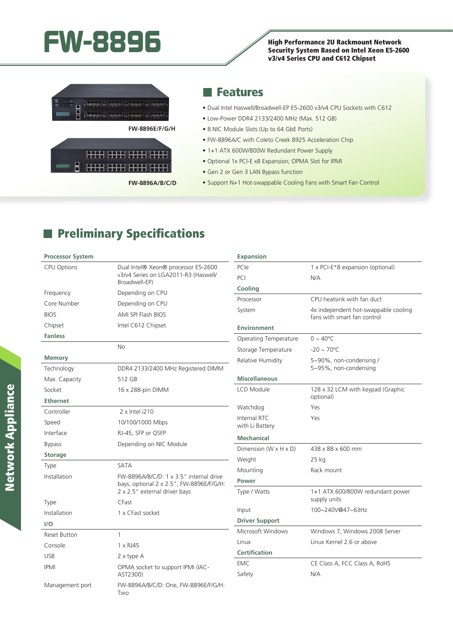# FW-8896<br>**FW-8896** High Performance 2U Rackmount Network<br>Security System Based on Intel Xeon E5-26

Security System Based on Intel Xeon E5-2600 v3/v4 Series CPU and C612 Chipset



**FW-8896E/F/G/H**



**FW-8896A/B/C/D**

## Features

- Dual Intel Haswell/Broadwell-EP E5-2600 v3/v4 CPU Sockets with C612
- Low-Power DDR4 2133/2400 MHz (Max. 512 GB)
- 8 NIC Module Slots (Up to 64 GbE Ports)
- FW-8896A/C with Coleto Creek 8925 Acceleration Chip
- 1+1 ATX 600W/800W Redundant Power Supply
- Optional 1x PCI-E x8 Expansion; OPMA Slot for IPMI
- Gen 2 or Gen 3 LAN Bypass function

**Expansion**

• Support N+1 Hot-swappable Cooling Fans with Smart Fan Control

## **Preliminary Specifications**

### **Processor System**

| <b>CPU Options</b>  | Dual Intel® Xeon® processor E5-2600                                                                                  | PCIe                                | 1 x PCI-E*8 expansion (optional)                                    |
|---------------------|----------------------------------------------------------------------------------------------------------------------|-------------------------------------|---------------------------------------------------------------------|
|                     | v3/v4 Series on LGA2011-R3 (Haswell/<br>Broadwell-EP)                                                                | PCI                                 | N/A                                                                 |
| Frequency           | Depending on CPU                                                                                                     | Cooling                             |                                                                     |
| Core Number         | Depending on CPU                                                                                                     | Processor                           | CPU heatsink with fan duct                                          |
| <b>BIOS</b>         | AMI SPI Flash BIOS                                                                                                   | System                              | 4x independent hot-swappable cooling<br>fans with smart fan control |
| Chipset             | Intel C612 Chipset                                                                                                   | <b>Environment</b>                  |                                                                     |
| <b>Fanless</b>      |                                                                                                                      | Operating Temperature               | $0 \sim 40^{\circ}$ C                                               |
|                     | No                                                                                                                   | Storage Temperature                 | $-20 \sim 70^{\circ}C$                                              |
| <b>Memory</b>       |                                                                                                                      | Relative Humidity                   | 5~90%, non-condensing /                                             |
| Technology          | DDR4 2133/2400 MHz Registered DIMM                                                                                   |                                     | 5~95%, non-condensing                                               |
| Max. Capacity       | 512 GB                                                                                                               | <b>Miscellaneous</b>                |                                                                     |
| Socket              | 16 x 288-pin DIMM                                                                                                    | LCD Module                          | 128 x 32 LCM with keypad (Graphic<br>optional)                      |
| <b>Ethernet</b>     |                                                                                                                      | Watchdog                            | Yes                                                                 |
| Controller          | 2 x Intel i210                                                                                                       | Internal RTC                        | Yes                                                                 |
| Speed               | 10/100/1000 Mbps                                                                                                     | with Li Battery                     |                                                                     |
| Interface           | RJ-45, SFP or QSFP                                                                                                   | <b>Mechanical</b>                   |                                                                     |
| <b>Bypass</b>       | Depending on NIC Module                                                                                              | Dimension ( $W \times H \times D$ ) | 438 x 88 x 600 mm                                                   |
| <b>Storage</b>      |                                                                                                                      | Weight                              | $25$ kg                                                             |
| Type                | <b>SATA</b>                                                                                                          | Mounting                            | Rack mount                                                          |
| Installation        | FW-8896A/B/C/D: 1 x 3.5" internal drive<br>bays, optional 2 x 2.5", FW-8896E/F/G/H:<br>2 x 2.5" external driver bays | Power                               |                                                                     |
|                     |                                                                                                                      | Type / Watts                        | 1+1 ATX 600/800W redundant power                                    |
| Type                | CFast                                                                                                                |                                     | supply units                                                        |
| Installation        | 1 x CFast socket                                                                                                     | Input                               | 100~240V@47~63Hz                                                    |
| I/O                 |                                                                                                                      | <b>Driver Support</b>               |                                                                     |
| <b>Reset Button</b> | $\mathbf{1}$                                                                                                         | Microsoft Windows                   | Windows 7, Windows 2008 Server                                      |
| Console             | 1 x RJ45                                                                                                             | Linux                               | Linux Kernel 2.6 or above                                           |
| <b>USB</b>          | 2 x type A                                                                                                           | <b>Certification</b>                |                                                                     |
| <b>IPMI</b>         | OPMA socket to support IPMI (IAC-<br>AST2300)                                                                        | <b>EMC</b><br>Safety                | CE Class A, FCC Class A, RoHS<br>N/A                                |
| Management port     | FW-8896A/B/C/D: One, FW-8896E/F/G/H:<br>Two                                                                          |                                     |                                                                     |
|                     |                                                                                                                      |                                     |                                                                     |